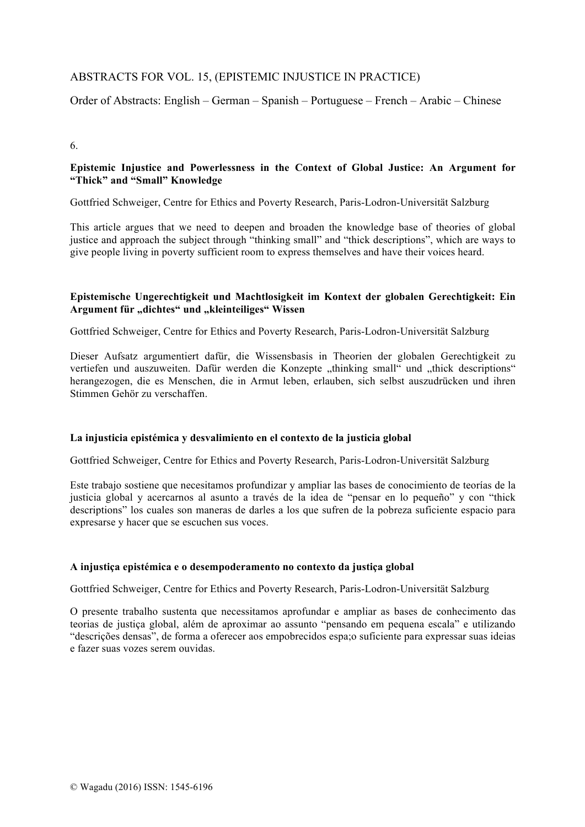## ABSTRACTS FOR VOL. 15, (EPISTEMIC INJUSTICE IN PRACTICE)

Order of Abstracts: English – German – Spanish – Portuguese – French – Arabic – Chinese

#### 6.

### **Epistemic Injustice and Powerlessness in the Context of Global Justice: An Argument for "Thick" and "Small" Knowledge**

Gottfried Schweiger, Centre for Ethics and Poverty Research, Paris-Lodron-Universität Salzburg

This article argues that we need to deepen and broaden the knowledge base of theories of global justice and approach the subject through "thinking small" and "thick descriptions", which are ways to give people living in poverty sufficient room to express themselves and have their voices heard.

### **Epistemische Ungerechtigkeit und Machtlosigkeit im Kontext der globalen Gerechtigkeit: Ein**  Argument für "dichtes" und "kleinteiliges" Wissen

Gottfried Schweiger, Centre for Ethics and Poverty Research, Paris-Lodron-Universität Salzburg

Dieser Aufsatz argumentiert dafür, die Wissensbasis in Theorien der globalen Gerechtigkeit zu vertiefen und auszuweiten. Dafür werden die Konzepte "thinking small" und "thick descriptions" herangezogen, die es Menschen, die in Armut leben, erlauben, sich selbst auszudrücken und ihren Stimmen Gehör zu verschaffen.

#### **La injusticia epistémica y desvalimiento en el contexto de la justicia global**

Gottfried Schweiger, Centre for Ethics and Poverty Research, Paris-Lodron-Universität Salzburg

Este trabajo sostiene que necesitamos profundizar y ampliar las bases de conocimiento de teorías de la justicia global y acercarnos al asunto a través de la idea de "pensar en lo pequeño" y con "thick descriptions" los cuales son maneras de darles a los que sufren de la pobreza suficiente espacio para expresarse y hacer que se escuchen sus voces.

#### **A injustiça epistémica e o desempoderamento no contexto da justiça global**

Gottfried Schweiger, Centre for Ethics and Poverty Research, Paris-Lodron-Universität Salzburg

O presente trabalho sustenta que necessitamos aprofundar e ampliar as bases de conhecimento das teorias de justiça global, além de aproximar ao assunto "pensando em pequena escala" e utilizando "descrições densas", de forma a oferecer aos empobrecidos espa;o suficiente para expressar suas ideias e fazer suas vozes serem ouvidas.